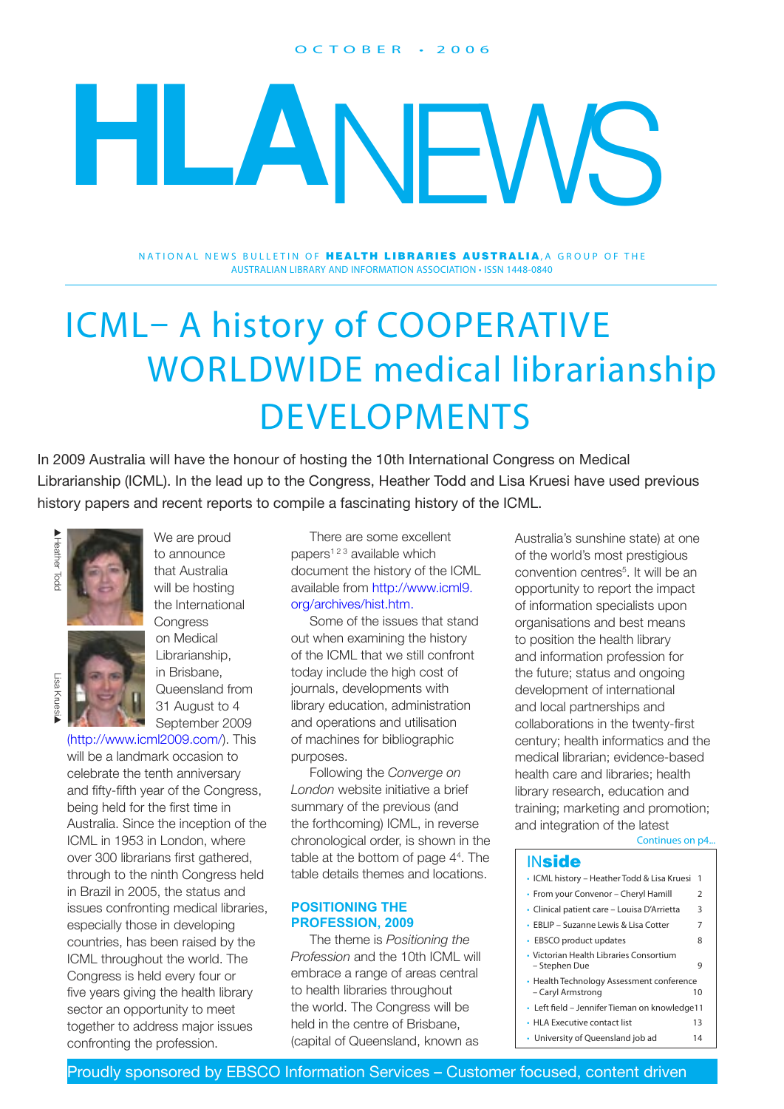#### O C T O B E R • 2 0 0 6

# **HLA**NEWS

NATIONAL NEWS BULLETIN OF **HEALTH LIBRARIES AUSTRALIA**, A GROUP OF THE AUSTRALIAN LIBRARY AND INFORMATION ASSOCIATION • ISSN 1448-0840

## ICML– A history of COOPERATIVE WORLDWIDE medical librarianship DEVELOPMENTS

In 2009 Australia will have the honour of hosting the 10th International Congress on Medical Librarianship (ICML). In the lead up to the Congress, Heather Todd and Lisa Kruesi have used previous history papers and recent reports to compile a fascinating history of the ICML.



Lisa Krues ▲



[\(http://www.icml2009.com/](http://www.icml2009.com/)). This will be a landmark occasion to celebrate the tenth anniversary and fifty-fifth year of the Congress, being held for the first time in Australia. Since the inception of the ICML in 1953 in London, where over 300 librarians first gathered, through to the ninth Congress held in Brazil in 2005, the status and issues confronting medical libraries, especially those in developing countries, has been raised by the ICML throughout the world. The Congress is held every four or five years giving the health library sector an opportunity to meet together to address major issues confronting the profession.

There are some excellent papers<sup> $123$ </sup> available which document the history of the ICML available from [http://www.icml9.](http://www.icml9.org/archives/hist.htm) [org/archives/hist.htm.](http://www.icml9.org/archives/hist.htm)

Some of the issues that stand out when examining the history of the ICML that we still confront today include the high cost of journals, developments with library education, administration and operations and utilisation of machines for bibliographic purposes.

Following the *Converge on London* website initiative a brief summary of the previous (and the forthcoming) ICML, in reverse chronological order, is shown in the table at the bottom of page 44 . The table details themes and locations.

#### **POSITIONING THE PROFESSION, 2009**

The theme is *Positioning the Profession* and the 10th ICML will embrace a range of areas central to health libraries throughout the world. The Congress will be held in the centre of Brisbane, (capital of Queensland, known as

Continues on p4... Australia's sunshine state) at one of the world's most prestigious convention centres<sup>5</sup>. It will be an opportunity to report the impact of information specialists upon organisations and best means to position the health library and information profession for the future; status and ongoing development of international and local partnerships and collaborations in the twenty-first century; health informatics and the medical librarian; evidence-based health care and libraries; health library research, education and training; marketing and promotion; and integration of the latest

#### **INside**

- ICML history Heather Todd & Lisa Kruesi 1 • From your Convenor – Cheryl Hamill 2 • Clinical patient care – Louisa D'Arrietta 3 • EBLIP – Suzanne Lewis & Lisa Cotter 7 • EBSCO product updates 8 • Victorian Health Libraries Consortium – Stephen Due 9 • Health Technology Assessment conference<br>Caryl Armstrong – Caryl Armstrong 10 • Left field – Jennifer Tieman on knowledge 11
- HLA Executive contact list 13
- University of Queensland job ad 14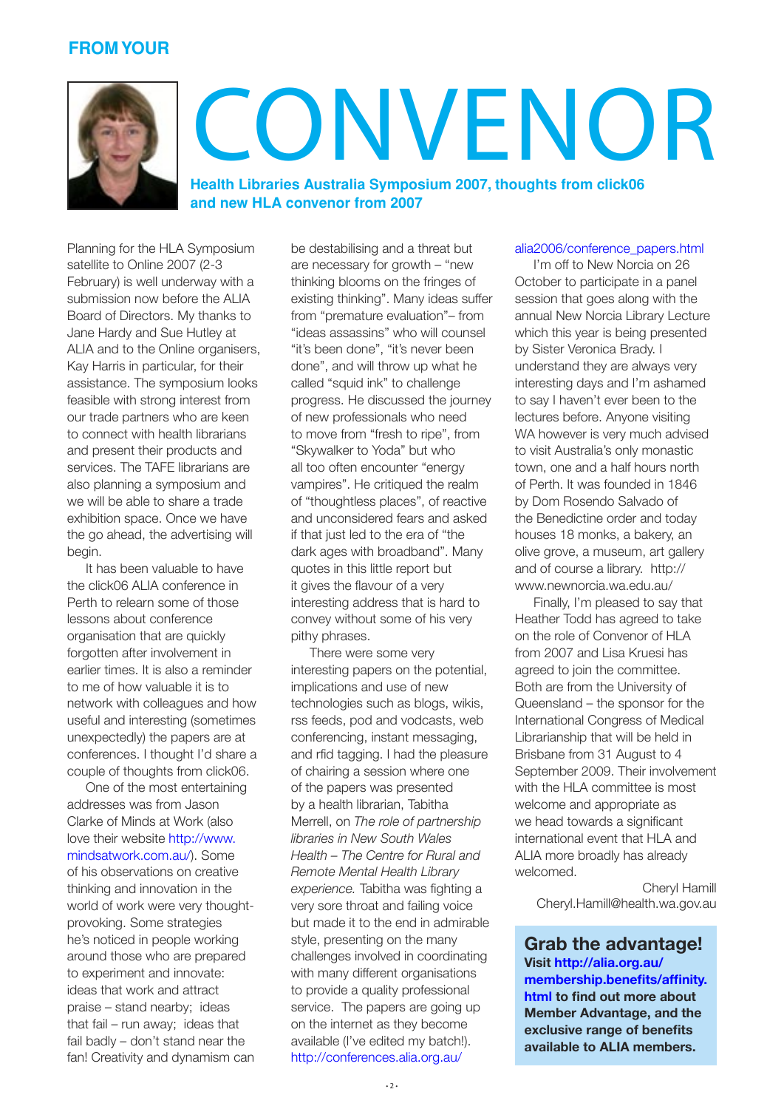#### **FROM YOUR**



## CONVENOR

**[Health Libraries Australia Symposium 2007, thoughts from click06](http://conferences.alia.org.au/alia2006/conference_papers.html)  [and new HLA convenor from 2007](http://conferences.alia.org.au/alia2006/conference_papers.html)**

[Planning for the HLA Symposium](http://conferences.alia.org.au/alia2006/conference_papers.html)  [satellite to Online 2007 \(2-3](http://conferences.alia.org.au/alia2006/conference_papers.html)  [February\) is well underway with a](http://conferences.alia.org.au/alia2006/conference_papers.html)  submission now before the ALIA [Board of Directors. My thanks to](http://conferences.alia.org.au/alia2006/conference_papers.html)  [Jane Hardy and Sue Hutley at](http://conferences.alia.org.au/alia2006/conference_papers.html)  [ALIA and to the Online organisers,](http://conferences.alia.org.au/alia2006/conference_papers.html)  [Kay Harris in particular, for their](http://conferences.alia.org.au/alia2006/conference_papers.html)  [assistance. The symposium looks](http://conferences.alia.org.au/alia2006/conference_papers.html)  [feasible with strong interest from](http://conferences.alia.org.au/alia2006/conference_papers.html)  [our trade partners who are keen](http://conferences.alia.org.au/alia2006/conference_papers.html)  [to connect with health librarians](http://conferences.alia.org.au/alia2006/conference_papers.html)  [and present their products and](http://conferences.alia.org.au/alia2006/conference_papers.html)  [services. The TAFE librarians are](http://conferences.alia.org.au/alia2006/conference_papers.html)  [also planning a symposium and](http://conferences.alia.org.au/alia2006/conference_papers.html)  [we will be able to share a trade](http://conferences.alia.org.au/alia2006/conference_papers.html)  [exhibition space. Once we have](http://conferences.alia.org.au/alia2006/conference_papers.html)  [the go ahead, the advertising will](http://conferences.alia.org.au/alia2006/conference_papers.html)  [begin.](http://conferences.alia.org.au/alia2006/conference_papers.html)

[It has been valuable to have](http://conferences.alia.org.au/alia2006/conference_papers.html)  [the click06 ALIA conference in](http://conferences.alia.org.au/alia2006/conference_papers.html)  [Perth to relearn some of those](http://conferences.alia.org.au/alia2006/conference_papers.html)  [lessons about conference](http://conferences.alia.org.au/alia2006/conference_papers.html)  [organisation that are quickly](http://conferences.alia.org.au/alia2006/conference_papers.html)  [forgotten after involvement in](http://conferences.alia.org.au/alia2006/conference_papers.html)  [earlier times. It is also a reminder](http://conferences.alia.org.au/alia2006/conference_papers.html)  [to me of how valuable it is to](http://conferences.alia.org.au/alia2006/conference_papers.html)  [network with colleagues and how](http://conferences.alia.org.au/alia2006/conference_papers.html)  [useful and interesting \(sometimes](http://conferences.alia.org.au/alia2006/conference_papers.html)  [unexpectedly\) the papers are at](http://conferences.alia.org.au/alia2006/conference_papers.html)  [conferences. I thought I'd share a](http://conferences.alia.org.au/alia2006/conference_papers.html)  [couple of thoughts from click06.](http://conferences.alia.org.au/alia2006/conference_papers.html)

[One of the most entertaining](http://conferences.alia.org.au/alia2006/conference_papers.html)  [addresses was from Jason](http://conferences.alia.org.au/alia2006/conference_papers.html)  [Clarke of Minds at Work \(also](http://conferences.alia.org.au/alia2006/conference_papers.html)  [love their website http://www.](http://conferences.alia.org.au/alia2006/conference_papers.html) [mindsatwork.com.au/\). Some](http://conferences.alia.org.au/alia2006/conference_papers.html)  [of his observations on creative](http://conferences.alia.org.au/alia2006/conference_papers.html)  [thinking and innovation in the](http://conferences.alia.org.au/alia2006/conference_papers.html)  [world of work were very thought](http://conferences.alia.org.au/alia2006/conference_papers.html)[provoking. Some strategies](http://conferences.alia.org.au/alia2006/conference_papers.html)  [he's noticed in people working](http://conferences.alia.org.au/alia2006/conference_papers.html)  [around those who are prepared](http://conferences.alia.org.au/alia2006/conference_papers.html)  [to experiment and innovate:](http://conferences.alia.org.au/alia2006/conference_papers.html)  [ideas that work and attract](http://conferences.alia.org.au/alia2006/conference_papers.html)  [praise – stand nearby; ideas](http://conferences.alia.org.au/alia2006/conference_papers.html)  [that fail – run away; ideas that](http://conferences.alia.org.au/alia2006/conference_papers.html)  [fail badly – don't stand near the](http://conferences.alia.org.au/alia2006/conference_papers.html)  [fan! Creativity and dynamism can](http://conferences.alia.org.au/alia2006/conference_papers.html)  be destabilising and a threat but are necessary for growth – "new thinking blooms on the fringes of existing thinking". Many ideas suffer from "premature evaluation"– from "ideas assassins" who will counsel "it's been done", "it's never been done", and will throw up what he called "squid ink" to challenge progress. He discussed the journey of new professionals who need to move from "fresh to ripe", from "Skywalker to Yoda" but who all too often encounter "energy vampires". He critiqued the realm of "thoughtless places", of reactive and unconsidered fears and asked if that just led to the era of "the dark ages with broadband". Many quotes in this little report but it gives the flavour of a very interesting address that is hard to convey without some of his very pithy phrases.

There were some very interesting papers on the potential, implications and use of new technologies such as blogs, wikis, rss feeds, pod and vodcasts, web conferencing, instant messaging, and rfid tagging. I had the pleasure of chairing a session where one of the papers was presented by a health librarian, Tabitha Merrell, on *The role of partnership libraries in New South Wales Health – The Centre for Rural and Remote Mental Health Library experience.* Tabitha was fighting a very sore throat and failing voice but made it to the end in admirable style, presenting on the many challenges involved in coordinating with many different organisations to provide a quality professional service. The papers are going up on the internet as they become available (I've edited my batch!). [http://conferences.alia.org.au/](http://conferences.alia.org.au/alia2006/conference_papers.html)

#### [alia2006/conference\\_papers.html](http://conferences.alia.org.au/alia2006/conference_papers.html)

I'm off to New Norcia on 26 October to participate in a panel session that goes along with the annual New Norcia Library Lecture which this year is being presented by Sister Veronica Brady. I understand they are always very interesting days and I'm ashamed to say I haven't ever been to the lectures before. Anyone visiting WA however is very much advised to visit Australia's only monastic town, one and a half hours north of Perth. It was founded in 1846 by Dom Rosendo Salvado of the Benedictine order and today houses 18 monks, a bakery, an olive grove, a museum, art gallery and of course a library. [http://](http://www.newnorcia.wa.edu.au/) [www.newnorcia.wa.edu.au/](http://www.newnorcia.wa.edu.au/)

Finally, I'm pleased to say that Heather Todd has agreed to take on the role of Convenor of HLA from 2007 and Lisa Kruesi has agreed to join the committee. Both are from the University of Queensland – the sponsor for the International Congress of Medical Librarianship that will be held in Brisbane from 31 August to 4 September 2009. Their involvement with the HLA committee is most welcome and appropriate as we head towards a significant international event that HLA and ALIA more broadly has already welcomed.

> Cheryl Hamill Cheryl.Hamill@health.wa.gov.au

#### **Grab the advantage!**

**Visit http://alia.org.au/ membership.benefits/affinity. html to find out more about Member Advantage, and the exclusive range of benefits available to ALIA members.**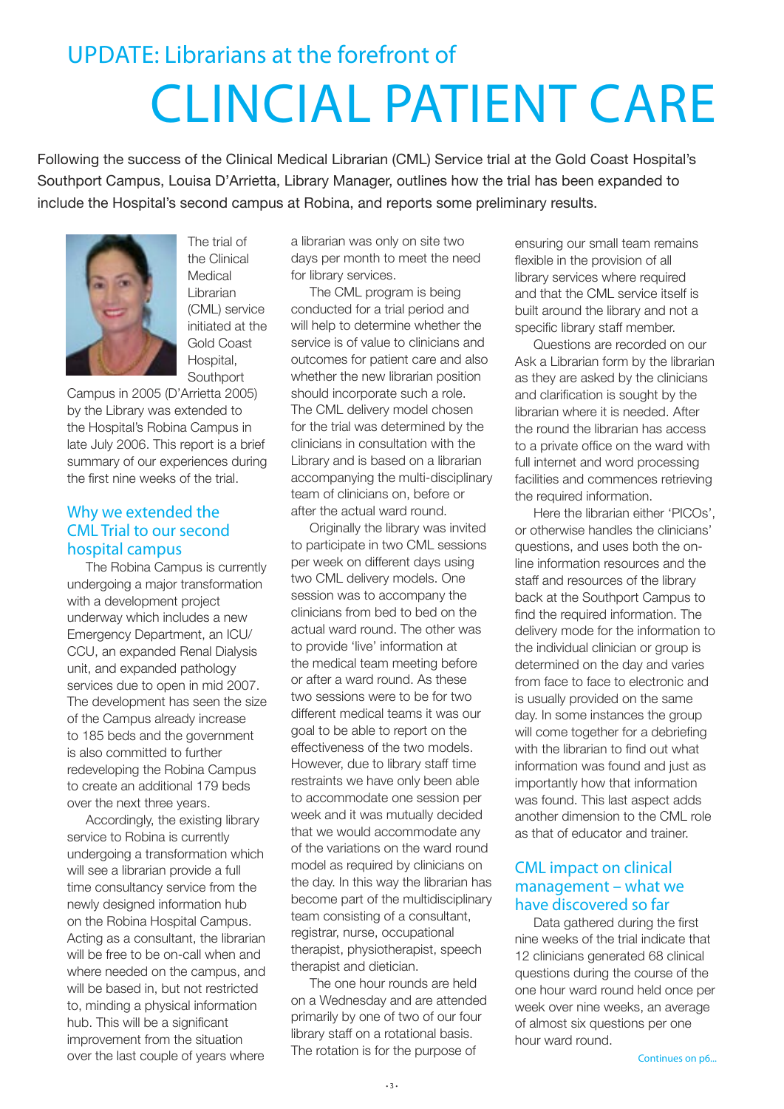## UPDATE: Librarians at the forefront of CLINCIAL PATIENT CARE

Following the success of the Clinical Medical Librarian (CML) Service trial at the Gold Coast Hospital's Southport Campus, Louisa D'Arrietta, Library Manager, outlines how the trial has been expanded to include the Hospital's second campus at Robina, and reports some preliminary results.



The trial of the Clinical Medical Librarian (CML) service initiated at the Gold Coast Hospital, **Southport** 

Campus in 2005 (D'Arrietta 2005) by the Library was extended to the Hospital's Robina Campus in late July 2006. This report is a brief summary of our experiences during the first nine weeks of the trial.

#### Why we extended the CML Trial to our second hospital campus

The Robina Campus is currently undergoing a major transformation with a development project underway which includes a new Emergency Department, an ICU/ CCU, an expanded Renal Dialysis unit, and expanded pathology services due to open in mid 2007. The development has seen the size of the Campus already increase to 185 beds and the government is also committed to further redeveloping the Robina Campus to create an additional 179 beds over the next three years.

Accordingly, the existing library service to Robina is currently undergoing a transformation which will see a librarian provide a full time consultancy service from the newly designed information hub on the Robina Hospital Campus. Acting as a consultant, the librarian will be free to be on-call when and where needed on the campus, and will be based in, but not restricted to, minding a physical information hub. This will be a significant improvement from the situation over the last couple of years where

a librarian was only on site two days per month to meet the need for library services.

The CML program is being conducted for a trial period and will help to determine whether the service is of value to clinicians and outcomes for patient care and also whether the new librarian position should incorporate such a role. The CML delivery model chosen for the trial was determined by the clinicians in consultation with the Library and is based on a librarian accompanying the multi-disciplinary team of clinicians on, before or after the actual ward round.

Originally the library was invited to participate in two CML sessions per week on different days using two CML delivery models. One session was to accompany the clinicians from bed to bed on the actual ward round. The other was to provide 'live' information at the medical team meeting before or after a ward round. As these two sessions were to be for two different medical teams it was our goal to be able to report on the effectiveness of the two models. However, due to library staff time restraints we have only been able to accommodate one session per week and it was mutually decided that we would accommodate any of the variations on the ward round model as required by clinicians on the day. In this way the librarian has become part of the multidisciplinary team consisting of a consultant, registrar, nurse, occupational therapist, physiotherapist, speech therapist and dietician.

The one hour rounds are held on a Wednesday and are attended primarily by one of two of our four library staff on a rotational basis. The rotation is for the purpose of

ensuring our small team remains flexible in the provision of all library services where required and that the CML service itself is built around the library and not a specific library staff member.

Questions are recorded on our Ask a Librarian form by the librarian as they are asked by the clinicians and clarification is sought by the librarian where it is needed. After the round the librarian has access to a private office on the ward with full internet and word processing facilities and commences retrieving the required information.

Here the librarian either 'PICOs', or otherwise handles the clinicians' questions, and uses both the online information resources and the staff and resources of the library back at the Southport Campus to find the required information. The delivery mode for the information to the individual clinician or group is determined on the day and varies from face to face to electronic and is usually provided on the same day. In some instances the group will come together for a debriefing with the librarian to find out what information was found and just as importantly how that information was found. This last aspect adds another dimension to the CML role as that of educator and trainer.

#### CML impact on clinical management – what we have discovered so far

Data gathered during the first nine weeks of the trial indicate that 12 clinicians generated 68 clinical questions during the course of the one hour ward round held once per week over nine weeks, an average of almost six questions per one hour ward round.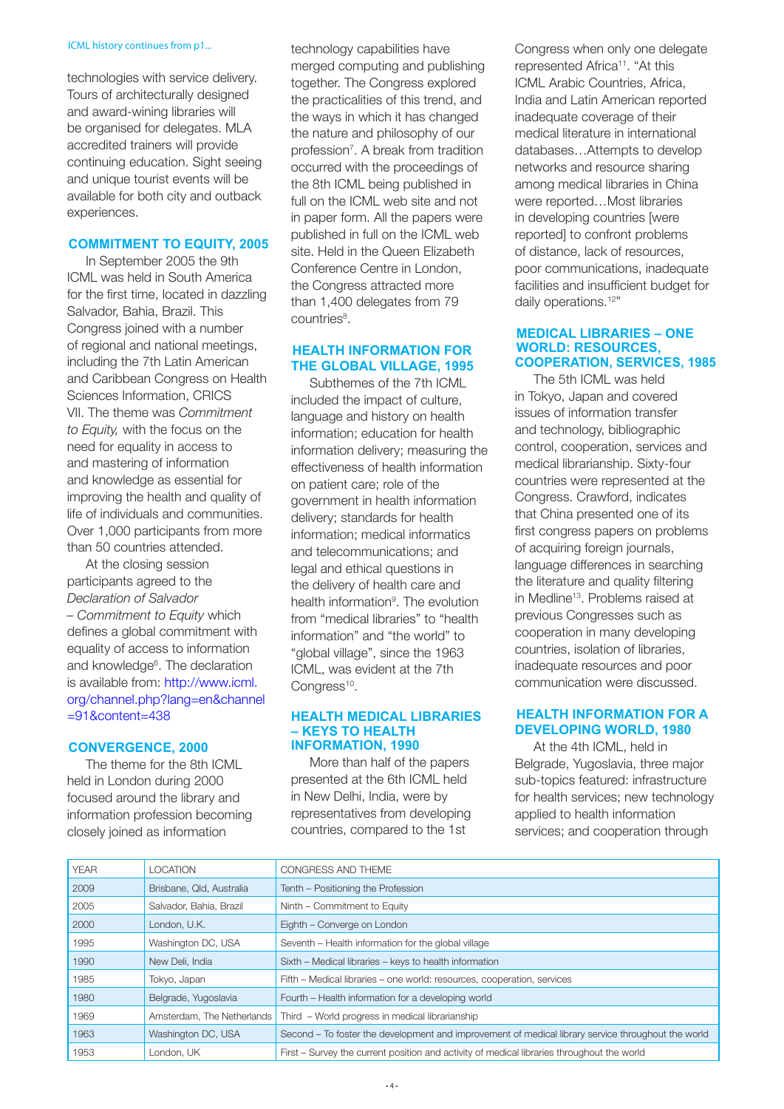#### ICML history continues from p1...

technologies with service delivery. Tours of architecturally designed and award-wining libraries will be organised for delegates. MLA accredited trainers will provide continuing education. Sight seeing and unique tourist events will be available for both city and outback experiences.

#### **COMMITMENT TO EQUITY, 2005**

In September 2005 the 9th ICML was held in South America for the first time, located in dazzling Salvador, Bahia, Brazil. This Congress joined with a number of regional and national meetings, including the 7th Latin American and Caribbean Congress on Health Sciences Information, CRICS VII. The theme was *Commitment to Equity,* with the focus on the need for equality in access to and mastering of information and knowledge as essential for improving the health and quality of life of individuals and communities. Over 1,000 participants from more than 50 countries attended.

At the closing session participants agreed to the *Declaration of Salvador – Commitment to Equity* which defines a global commitment with equality of access to information and knowledge<sup>6</sup>. The declaration is available from: [http://www.icml.](http://www.icml.org/channel.php?lang=en&channel=91&content=438) [org/channel.php?lang=en&channel](http://www.icml.org/channel.php?lang=en&channel=91&content=438) [=91&content=438](http://www.icml.org/channel.php?lang=en&channel=91&content=438)

#### **CONVERGENCE, 2000**

The theme for the 8th ICML held in London during 2000 focused around the library and information profession becoming closely joined as information

technology capabilities have merged computing and publishing together. The Congress explored the practicalities of this trend, and the ways in which it has changed the nature and philosophy of our profession<sup>7</sup>. A break from tradition occurred with the proceedings of the 8th ICML being published in full on the ICML web site and not in paper form. All the papers were published in full on the ICML web site. Held in the Queen Elizabeth Conference Centre in London, the Congress attracted more than 1,400 delegates from 79 countries<sup>8</sup>.

#### **HEALTH INFORMATION FOR THE GLOBAL VILLAGE, 1995**

Subthemes of the 7th ICML included the impact of culture, language and history on health information; education for health information delivery; measuring the effectiveness of health information on patient care; role of the government in health information delivery; standards for health information; medical informatics and telecommunications; and legal and ethical questions in the delivery of health care and health information<sup>9</sup>. The evolution from "medical libraries" to "health information" and "the world" to "global village", since the 1963 ICML, was evident at the 7th Congress<sup>10</sup>.

#### **HEALTH MEDICAL LIBRARIES – KEYS TO HEALTH INFORMATION, 1990**

More than half of the papers presented at the 6th ICML held in New Delhi, India, were by representatives from developing countries, compared to the 1st

Congress when only one delegate represented Africa<sup>11</sup>. "At this ICML Arabic Countries, Africa, India and Latin American reported inadequate coverage of their medical literature in international databases…Attempts to develop networks and resource sharing among medical libraries in China were reported…Most libraries in developing countries [were reported] to confront problems of distance, lack of resources, poor communications, inadequate facilities and insufficient budget for daily operations.<sup>12"</sup>

#### **MEDICAL LIBRARIES – ONE WORLD: RESOURCES, COOPERATION, SERVICES, 1985**

The 5th ICML was held in Tokyo, Japan and covered issues of information transfer and technology, bibliographic control, cooperation, services and medical librarianship. Sixty-four countries were represented at the Congress. Crawford, indicates that China presented one of its first congress papers on problems of acquiring foreign journals, language differences in searching the literature and quality filtering in Medline<sup>13</sup>. Problems raised at previous Congresses such as cooperation in many developing countries, isolation of libraries, inadequate resources and poor communication were discussed.

#### **HEALTH INFORMATION FOR A DEVELOPING WORLD, 1980**

At the 4th ICML, held in Belgrade, Yugoslavia, three major sub-topics featured: infrastructure for health services; new technology applied to health information services; and cooperation through

| <b>YEAR</b> | <b>LOCATION</b>            | CONGRESS AND THEME                                                                                 |  |
|-------------|----------------------------|----------------------------------------------------------------------------------------------------|--|
| 2009        | Brisbane, Qld, Australia   | Tenth - Positioning the Profession                                                                 |  |
| 2005        | Salvador, Bahia, Brazil    | Ninth – Commitment to Equity                                                                       |  |
| 2000        | London, U.K.               | Eighth – Converge on London                                                                        |  |
| 1995        | Washington DC, USA         | Seventh – Health information for the global village                                                |  |
| 1990        | New Deli, India            | Sixth – Medical libraries – keys to health information                                             |  |
| 1985        | Tokyo, Japan               | Fifth – Medical libraries – one world: resources, cooperation, services                            |  |
| 1980        | Belgrade, Yugoslavia       | Fourth – Health information for a developing world                                                 |  |
| 1969        | Amsterdam, The Netherlands | Third - World progress in medical librarianship                                                    |  |
| 1963        | Washington DC, USA         | Second – To foster the development and improvement of medical library service throughout the world |  |
| 1953        | London, UK                 | First – Survey the current position and activity of medical libraries throughout the world         |  |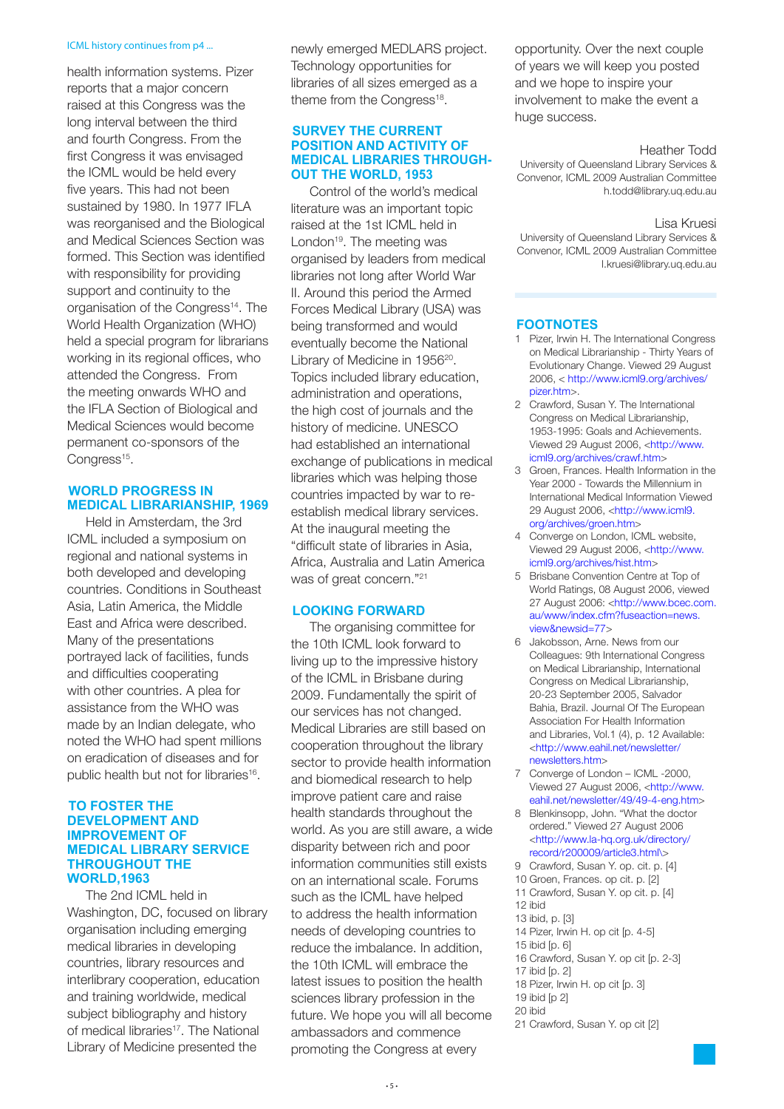#### ICML history continues from p4 ...

health information systems. Pizer reports that a major concern raised at this Congress was the long interval between the third and fourth Congress. From the first Congress it was envisaged the ICML would be held every five years. This had not been sustained by 1980. In 1977 IFLA was reorganised and the Biological and Medical Sciences Section was formed. This Section was identified with responsibility for providing support and continuity to the organisation of the Congress<sup>14</sup>. The World Health Organization (WHO) held a special program for librarians working in its regional offices, who attended the Congress. From the meeting onwards WHO and the IFLA Section of Biological and Medical Sciences would become permanent co-sponsors of the Congress<sup>15</sup>.

#### **WORLD PROGRESS IN MEDICAL LIBRARIANSHIP, 1969**

Held in Amsterdam, the 3rd ICML included a symposium on regional and national systems in both developed and developing countries. Conditions in Southeast Asia, Latin America, the Middle East and Africa were described. Many of the presentations portrayed lack of facilities, funds and difficulties cooperating with other countries. A plea for assistance from the WHO was made by an Indian delegate, who noted the WHO had spent millions on eradication of diseases and for public health but not for libraries<sup>16</sup>.

#### **TO FOSTER THE DEVELOPMENT AND IMPROVEMENT OF MEDICAL LIBRARY SERVICE THROUGHOUT THE WORLD,1963**

The 2nd ICML held in Washington, DC, focused on library organisation including emerging medical libraries in developing countries, library resources and interlibrary cooperation, education and training worldwide, medical subject bibliography and history of medical libraries<sup>17</sup>. The National Library of Medicine presented the

newly emerged MEDLARS project. Technology opportunities for libraries of all sizes emerged as a theme from the Congress<sup>18</sup>.

#### **SURVEY THE CURRENT POSITION AND ACTIVITY OF MEDICAL LIBRARIES THROUGH-OUT THE WORLD, 1953**

Control of the world's medical literature was an important topic raised at the 1st ICML held in London<sup>19</sup>. The meeting was organised by leaders from medical libraries not long after World War II. Around this period the Armed Forces Medical Library (USA) was being transformed and would eventually become the National Library of Medicine in 1956<sup>20</sup>. Topics included library education, administration and operations, the high cost of journals and the history of medicine. UNESCO had established an international exchange of publications in medical libraries which was helping those countries impacted by war to reestablish medical library services. At the inaugural meeting the "difficult state of libraries in Asia, Africa, Australia and Latin America was of great concern."<sup>21</sup>

#### **LOOKING FORWARD**

The organising committee for the 10th ICML look forward to living up to the impressive history of the ICML in Brisbane during 2009. Fundamentally the spirit of our services has not changed. Medical Libraries are still based on cooperation throughout the library sector to provide health information and biomedical research to help improve patient care and raise health standards throughout the world. As you are still aware, a wide disparity between rich and poor information communities still exists on an international scale. Forums such as the ICML have helped to address the health information needs of developing countries to reduce the imbalance. In addition, the 10th ICML will embrace the latest issues to position the health sciences library profession in the future. We hope you will all become ambassadors and commence promoting the Congress at every

opportunity. Over the next couple of years we will keep you posted and we hope to inspire your involvement to make the event a huge success.

#### Heather Todd

University of Queensland Library Services & Convenor, ICML 2009 Australian Committee h.todd@library.uq.edu.au

#### Lisa Kruesi

University of Queensland Library Services & Convenor, ICML 2009 Australian Committee l.kruesi@library.uq.edu.au

#### **FOOTNOTES**

- 1 Pizer, Irwin H. The International Congress on Medical Librarianship - Thirty Years of Evolutionary Change. Viewed 29 August 2006, < http://www.icml9.org/archives/ pizer.htm>.
- 2 Crawford, Susan Y. The International Congress on Medical Librarianship, 1953-1995: Goals and Achievements. Viewed 29 August 2006, <http://www. icml9.org/archives/crawf.htm>
- 3 Groen, Frances. Health Information in the Year 2000 - Towards the Millennium in International Medical Information Viewed 29 August 2006, <http://www.icml9. org/archives/groen.htm>
- 4 Converge on London, ICML website, Viewed 29 August 2006, <http://www. icml9.org/archives/hist.htm>
- 5 Brisbane Convention Centre at Top of World Ratings, 08 August 2006, viewed 27 August 2006: <http://www.bcec.com. au/www/index.cfm?fuseaction=news. view&newsid=77>
- 6 Jakobsson, Arne. News from our Colleagues: 9th International Congress on Medical Librarianship, International Congress on Medical Librarianship, 20-23 September 2005, Salvador Bahia, Brazil. Journal Of The European Association For Health Information and Libraries, Vol.1 (4), p. 12 Available: <http://www.eahil.net/newsletter/ newsletters.htm>
- 7 Converge of London ICML -2000, Viewed 27 August 2006, <http://www. eahil.net/newsletter/49/49-4-eng.htm>
- 8 Blenkinsopp, John. "What the doctor ordered." Viewed 27 August 2006 <http://www.la-hq.org.uk/directory/ record/r200009/article3.html\>
- 9 Crawford, Susan Y. op. cit. p. [4]
- 10 Groen, Frances. op cit. p. [2]
- 11 Crawford, Susan Y. op cit. p. [4]
- 12 ibid
- 13 ibid, p. [3]
- 14 Pizer, Irwin H. op cit [p. 4-5]
- 15 ibid [p. 6]
- 16 Crawford, Susan Y. op cit [p. 2-3] 17 ibid [p. 2]
- 18 Pizer, Irwin H. op cit [p. 3]
- 19 ibid [p 2]
- 20 ibid
- 21 Crawford, Susan Y. op cit [2]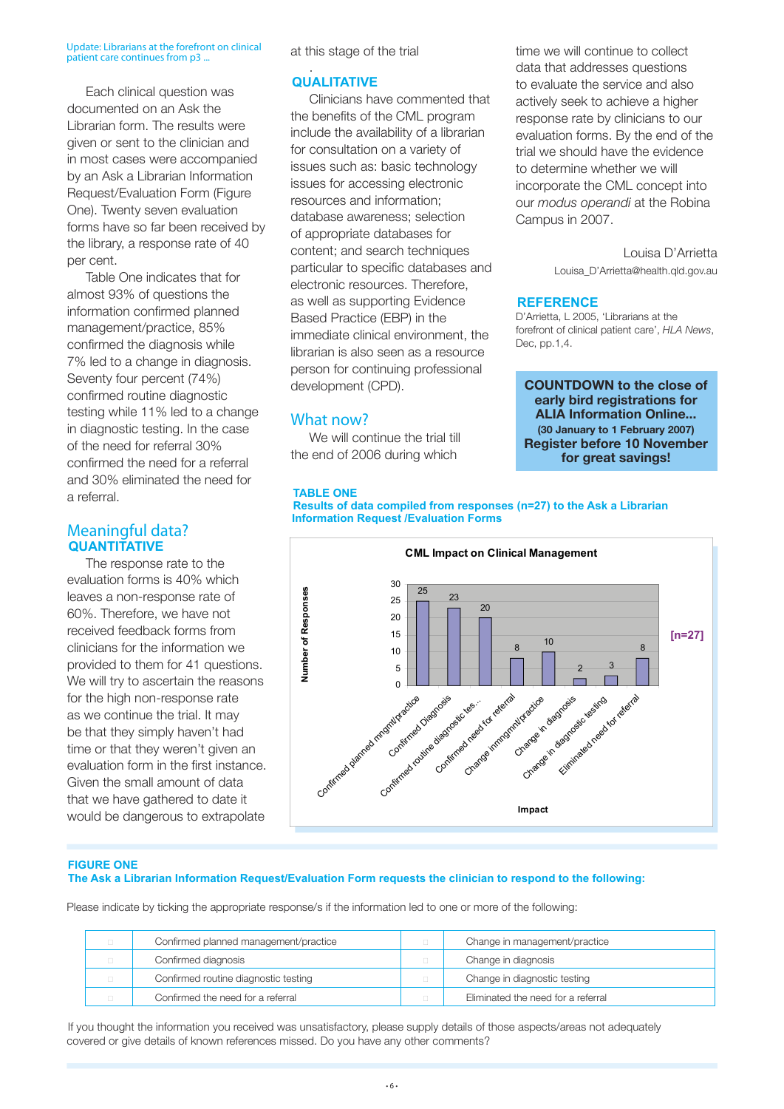#### Update: Librarians at the forefront on clinical patient care continues from p3 ...

Each clinical question was documented on an Ask the Librarian form. The results were given or sent to the clinician and in most cases were accompanied by an Ask a Librarian Information Request/Evaluation Form (Figure One). Twenty seven evaluation forms have so far been received by the library, a response rate of 40 per cent.

Table One indicates that for almost 93% of questions the information confirmed planned management/practice, 85% confirmed the diagnosis while 7% led to a change in diagnosis. Seventy four percent (74%) confirmed routine diagnostic testing while 11% led to a change in diagnostic testing. In the case of the need for referral 30% confirmed the need for a referral and 30% eliminated the need for a referral.

#### Meaningful data? **QUANTITATIVE**

The response rate to the evaluation forms is 40% which leaves a non-response rate of 60%. Therefore, we have not received feedback forms from clinicians for the information we provided to them for 41 questions. We will try to ascertain the reasons for the high non-response rate as we continue the trial. It may be that they simply haven't had time or that they weren't given an evaluation form in the first instance. Given the small amount of data that we have gathered to date it would be dangerous to extrapolate

at this stage of the trial

#### . **QUALITATIVE**

Clinicians have commented that the benefits of the CML program include the availability of a librarian for consultation on a variety of issues such as: basic technology issues for accessing electronic resources and information; database awareness; selection of appropriate databases for content; and search techniques particular to specific databases and electronic resources. Therefore, as well as supporting Evidence Based Practice (EBP) in the immediate clinical environment, the librarian is also seen as a resource person for continuing professional development (CPD).

#### What now?

We will continue the trial till the end of 2006 during which

time we will continue to collect data that addresses questions to evaluate the service and also actively seek to achieve a higher response rate by clinicians to our evaluation forms. By the end of the trial we should have the evidence to determine whether we will incorporate the CML concept into our *modus operandi* at the Robina Campus in 2007.

> Louisa D'Arrietta Louisa\_D'Arrietta@health.qld.gov.au

#### **REFERENCE**

D'Arrietta, L 2005, 'Librarians at the forefront of clinical patient care', *HLA News*, Dec, pp.1,4.

**COUNTDOWN to the close of early bird registrations for ALIA Information Online... (30 January to 1 February 2007) Register before 10 November for great savings!**

#### **TABLE ONE**

**Results of data compiled from responses (n=27) to the Ask a Librarian Information Request /Evaluation Forms**



#### **FIGURE ONE The Ask a Librarian Information Request/Evaluation Form requests the clinician to respond to the following:**

Please indicate by ticking the appropriate response/s if the information led to one or more of the following:

| $\Box$ | Confirmed planned management/practice |   | Change in management/practice      |
|--------|---------------------------------------|---|------------------------------------|
| $\Box$ | Confirmed diagnosis                   |   | Change in diagnosis                |
| $\Box$ | Confirmed routine diagnostic testing  |   | Change in diagnostic testing       |
| $\Box$ | Confirmed the need for a referral     | п | Eliminated the need for a referral |

If you thought the information you received was unsatisfactory, please supply details of those aspects/areas not adequately covered or give details of known references missed. Do you have any other comments?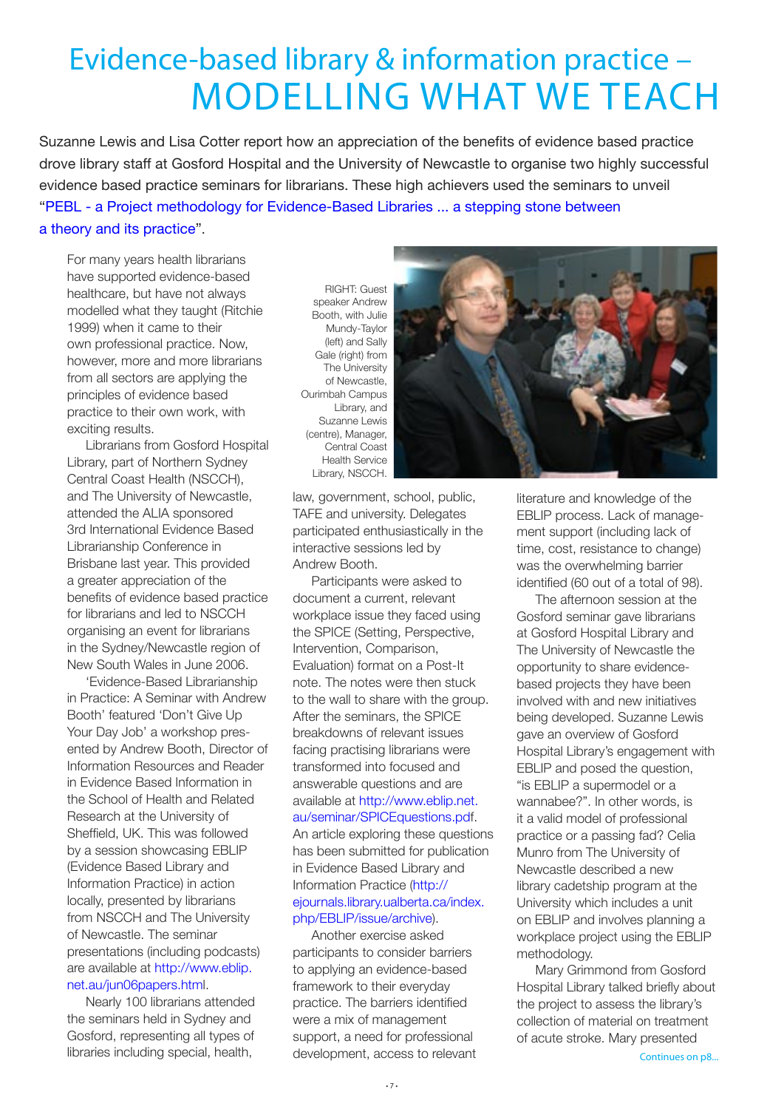## Evidence-based library & information practice – MODELLING WHAT WE TEACH

Suzanne Lewis and Lisa Cotter report how an appreciation of the benefits of evidence based practice drove library staff at Gosford Hospital and the University of Newcastle to organise two highly successful evidence based practice seminars for librarians. These high achievers used the seminars to unveil ["PEBL - a Project methodology for Evidence-Based Libraries ... a stepping stone between](http://www.eblip.net.au/seminar/PEBL.pdf)  [a theory and its practice"](http://www.eblip.net.au/seminar/PEBL.pdf).

For many years health librarians have supported evidence-based healthcare, but have not always modelled what they taught (Ritchie 1999) when it came to their own professional practice. Now, however, more and more librarians from all sectors are applying the principles of evidence based practice to their own work, with exciting results.

Librarians from Gosford Hospital Library, part of Northern Sydney Central Coast Health (NSCCH), and The University of Newcastle, attended the ALIA sponsored 3rd International Evidence Based Librarianship Conference in Brisbane last year. This provided a greater appreciation of the benefits of evidence based practice for librarians and led to NSCCH organising an event for librarians in the Sydney/Newcastle region of New South Wales in June 2006.

'Evidence-Based Librarianship in Practice: A Seminar with Andrew Booth' featured 'Don't Give Up Your Day Job' a workshop presented by Andrew Booth, Director of Information Resources and Reader in Evidence Based Information in the School of Health and Related Research at the University of Sheffield, UK. This was followed by a session showcasing EBLIP (Evidence Based Library and Information Practice) in action locally, presented by librarians from NSCCH and The University of Newcastle. The seminar presentations (including podcasts) are available at [http://www.eblip.](http://www.eblip.net.au/jun06papers.html) [net.au/jun06papers.html](http://www.eblip.net.au/jun06papers.html).

Nearly 100 librarians attended the seminars held in Sydney and Gosford, representing all types of libraries including special, health,

RIGHT: Guest speaker Andrew Booth, with Julie Mundy-Taylor (left) and Sally Gale (right) from The University of Newcastle, Ourimbah Campus Library, and Suzanne Lewis (centre), Manager, Central Coast Health Service Library, NSCCH.



law, government, school, public, TAFE and university. Delegates participated enthusiastically in the interactive sessions led by Andrew Booth.

Participants were asked to document a current, relevant workplace issue they faced using the SPICE (Setting, Perspective, Intervention, Comparison, Evaluation) format on a Post-It note. The notes were then stuck to the wall to share with the group. After the seminars, the SPICE breakdowns of relevant issues facing practising librarians were transformed into focused and answerable questions and are available at [http://www.eblip.net.](http://www.eblip.net.au/seminar/SPICEquestions.pdf) [au/seminar/SPICEquestions.pdf.](http://www.eblip.net.au/seminar/SPICEquestions.pdf) An article exploring these questions has been submitted for publication in Evidence Based Library and Information Practice ([http://](http://ejournals.library.ualberta.ca/index.php/EBLIP/issue/archive) [ejournals.library.ualberta.ca/index.](http://ejournals.library.ualberta.ca/index.php/EBLIP/issue/archive) [php/EBLIP/issue/archive](http://ejournals.library.ualberta.ca/index.php/EBLIP/issue/archive)).

Another exercise asked participants to consider barriers to applying an evidence-based framework to their everyday practice. The barriers identified were a mix of management support, a need for professional development, access to relevant literature and knowledge of the EBLIP process. Lack of management support (including lack of time, cost, resistance to change) was the overwhelming barrier identified (60 out of a total of 98).

The afternoon session at the Gosford seminar gave librarians at Gosford Hospital Library and The University of Newcastle the opportunity to share evidencebased projects they have been involved with and new initiatives being developed. Suzanne Lewis gave an overview of Gosford Hospital Library's engagement with EBLIP and posed the question, "is EBLIP a supermodel or a wannabee?". In other words, is it a valid model of professional practice or a passing fad? Celia Munro from The University of Newcastle described a new library cadetship program at the University which includes a unit on EBLIP and involves planning a workplace project using the EBLIP methodology.

Mary Grimmond from Gosford Hospital Library talked briefly about the project to assess the library's collection of material on treatment of acute stroke. Mary presented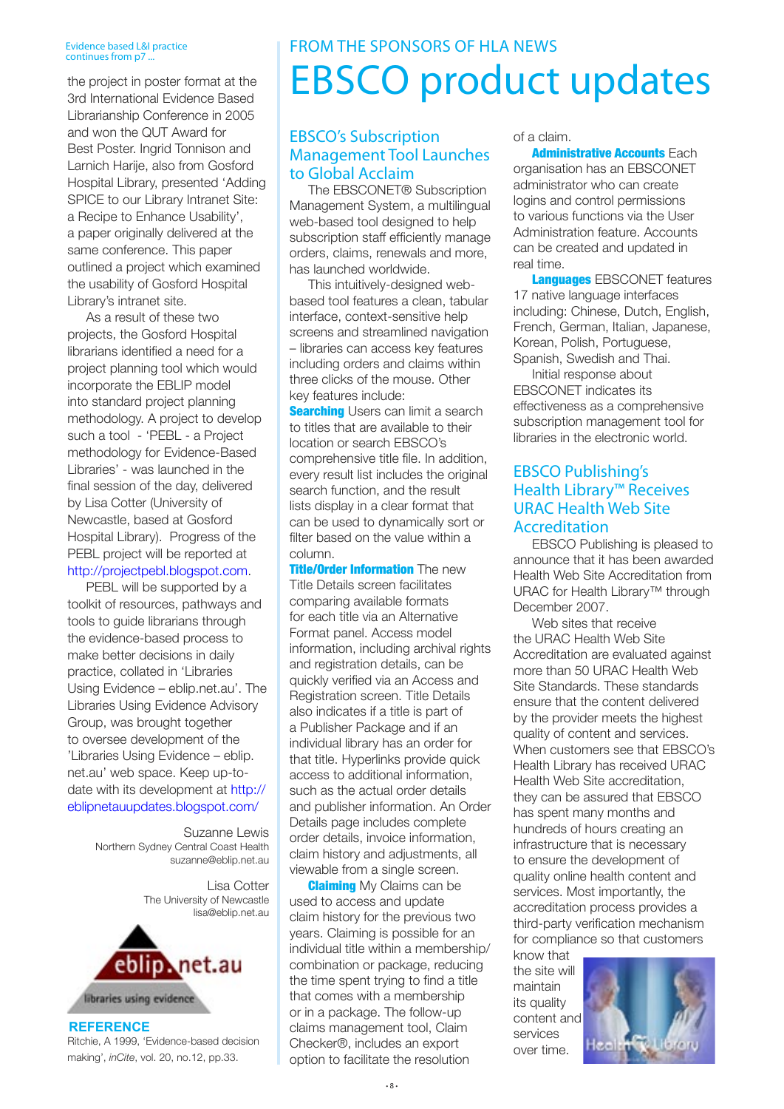#### Evidence based L&I practice continues from p7.

the project in poster format at the 3rd International Evidence Based Librarianship Conference in 2005 and won the QUT Award for Best Poster. Ingrid Tonnison and Larnich Harije, also from Gosford Hospital Library, presented 'Adding SPICE to our Library Intranet Site: a Recipe to Enhance Usability', a paper originally delivered at the same conference. This paper outlined a project which examined the usability of Gosford Hospital Library's intranet site.

As a result of these two projects, the Gosford Hospital librarians identified a need for a project planning tool which would incorporate the EBLIP model into standard project planning methodology. A project to develop such a tool - 'PEBL - a Project methodology for Evidence-Based Libraries' - was launched in the final session of the day, delivered by Lisa Cotter (University of Newcastle, based at Gosford Hospital Library). Progress of the PEBL project will be reported at <http://projectpebl.blogspot.com>.

PEBL will be supported by a toolkit of resources, pathways and tools to guide librarians through the evidence-based process to make better decisions in daily practice, collated in 'Libraries Using Evidence – eblip.net.au'. The Libraries Using Evidence Advisory Group, was brought together to oversee development of the 'Libraries Using Evidence – eblip. net.au' web space. Keep up-todate with its development at [http://](http://eblipnetauupdates.blogspot.com/) [eblipnetauupdates.blogspot.com/](http://eblipnetauupdates.blogspot.com/)

> Suzanne Lewis Northern Sydney Central Coast Health [suzanne@eblip.net.au](mailto:suzanne@eblip.net.au)

> > Lisa Cotter The University of Newcastle [lisa@eblip.net.au](mailto:lisa@eblip.net.au)



**REFERENCE** Ritchie, A 1999, 'Evidence-based decision making', *inCite*, vol. 20, no.12, pp.33.

### FROM THE SPONSORS OF HLA NEWS EBSCO product updates

#### EBSCO's Subscription Management Tool Launches to Global Acclaim

The EBSCONET® Subscription Management System, a multilingual web-based tool designed to help subscription staff efficiently manage orders, claims, renewals and more, has launched worldwide.

This intuitively-designed webbased tool features a clean, tabular interface, context-sensitive help screens and streamlined navigation – libraries can access key features including orders and claims within three clicks of the mouse. Other key features include:

**Searching** Users can limit a search to titles that are available to their location or search EBSCO's comprehensive title file. In addition, every result list includes the original search function, and the result lists display in a clear format that can be used to dynamically sort or filter based on the value within a column.

**Title/Order Information** The new Title Details screen facilitates comparing available formats for each title via an Alternative Format panel. Access model information, including archival rights and registration details, can be quickly verified via an Access and Registration screen. Title Details also indicates if a title is part of a Publisher Package and if an individual library has an order for that title. Hyperlinks provide quick access to additional information, such as the actual order details and publisher information. An Order Details page includes complete order details, invoice information, claim history and adjustments, all viewable from a single screen.

**Claiming** My Claims can be used to access and update claim history for the previous two years. Claiming is possible for an individual title within a membership/ combination or package, reducing the time spent trying to find a title that comes with a membership or in a package. The follow-up claims management tool, Claim Checker®, includes an export option to facilitate the resolution

of a claim.

**Administrative Accounts Each** organisation has an EBSCONET administrator who can create logins and control permissions to various functions via the User Administration feature. Accounts can be created and updated in real time.

**Languages EBSCONET features** 17 native language interfaces including: Chinese, Dutch, English, French, German, Italian, Japanese, Korean, Polish, Portuguese, Spanish, Swedish and Thai.

Initial response about EBSCONET indicates its effectiveness as a comprehensive subscription management tool for libraries in the electronic world.

#### EBSCO Publishing's Health Library™ Receives URAC Health Web Site Accreditation

EBSCO Publishing is pleased to announce that it has been awarded Health Web Site Accreditation from URAC for Health Library™ through December 2007.

Web sites that receive the URAC Health Web Site Accreditation are evaluated against more than 50 URAC Health Web Site Standards. These standards ensure that the content delivered by the provider meets the highest quality of content and services. When customers see that EBSCO's Health Library has received URAC Health Web Site accreditation, they can be assured that EBSCO has spent many months and hundreds of hours creating an infrastructure that is necessary to ensure the development of quality online health content and services. Most importantly, the accreditation process provides a third-party verification mechanism for compliance so that customers

know that the site will maintain its quality content and services over time.

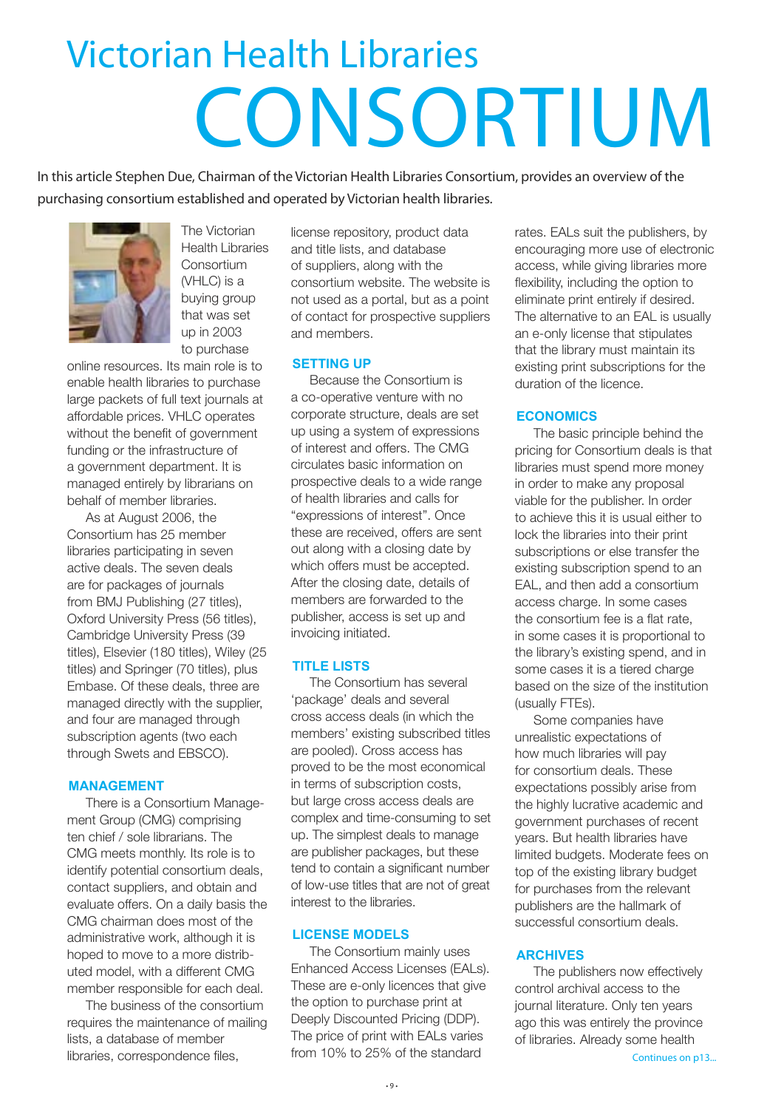## Victorian Health Libraries CONSORTIUM

In this article Stephen Due, Chairman of the Victorian Health Libraries Consortium, provides an overview of the purchasing consortium established and operated by Victorian health libraries.



The Victorian Health Libraries **Consortium** (VHLC) is a buying group that was set up in 2003 to purchase

online resources. Its main role is to enable health libraries to purchase large packets of full text journals at affordable prices. VHLC operates without the benefit of government funding or the infrastructure of a government department. It is managed entirely by librarians on behalf of member libraries.

As at August 2006, the Consortium has 25 member libraries participating in seven active deals. The seven deals are for packages of journals from BMJ Publishing (27 titles), Oxford University Press (56 titles), Cambridge University Press (39 titles), Elsevier (180 titles), Wiley (25 titles) and Springer (70 titles), plus Embase. Of these deals, three are managed directly with the supplier, and four are managed through subscription agents (two each through Swets and EBSCO).

#### **MANAGEMENT**

There is a Consortium Management Group (CMG) comprising ten chief / sole librarians. The CMG meets monthly. Its role is to identify potential consortium deals, contact suppliers, and obtain and evaluate offers. On a daily basis the CMG chairman does most of the administrative work, although it is hoped to move to a more distributed model, with a different CMG member responsible for each deal.

The business of the consortium requires the maintenance of mailing lists, a database of member libraries, correspondence files,

license repository, product data and title lists, and database of suppliers, along with the consortium website. The website is not used as a portal, but as a point of contact for prospective suppliers and members.

#### **SETTING UP**

Because the Consortium is a co-operative venture with no corporate structure, deals are set up using a system of expressions of interest and offers. The CMG circulates basic information on prospective deals to a wide range of health libraries and calls for "expressions of interest". Once these are received, offers are sent out along with a closing date by which offers must be accepted. After the closing date, details of members are forwarded to the publisher, access is set up and invoicing initiated.

#### **TITLE LISTS**

The Consortium has several 'package' deals and several cross access deals (in which the members' existing subscribed titles are pooled). Cross access has proved to be the most economical in terms of subscription costs, but large cross access deals are complex and time-consuming to set up. The simplest deals to manage are publisher packages, but these tend to contain a significant number of low-use titles that are not of great interest to the libraries.

#### **LICENSE MODELS**

The Consortium mainly uses Enhanced Access Licenses (EALs). These are e-only licences that give the option to purchase print at Deeply Discounted Pricing (DDP). The price of print with EALs varies from 10% to 25% of the standard

rates. EALs suit the publishers, by encouraging more use of electronic access, while giving libraries more flexibility, including the option to eliminate print entirely if desired. The alternative to an EAL is usually an e-only license that stipulates that the library must maintain its existing print subscriptions for the duration of the licence.

#### **ECONOMICS**

The basic principle behind the pricing for Consortium deals is that libraries must spend more money in order to make any proposal viable for the publisher. In order to achieve this it is usual either to lock the libraries into their print subscriptions or else transfer the existing subscription spend to an EAL, and then add a consortium access charge. In some cases the consortium fee is a flat rate, in some cases it is proportional to the library's existing spend, and in some cases it is a tiered charge based on the size of the institution (usually FTEs).

Some companies have unrealistic expectations of how much libraries will pay for consortium deals. These expectations possibly arise from the highly lucrative academic and government purchases of recent years. But health libraries have limited budgets. Moderate fees on top of the existing library budget for purchases from the relevant publishers are the hallmark of successful consortium deals.

#### **ARCHIVES**

The publishers now effectively control archival access to the journal literature. Only ten years ago this was entirely the province of libraries. Already some health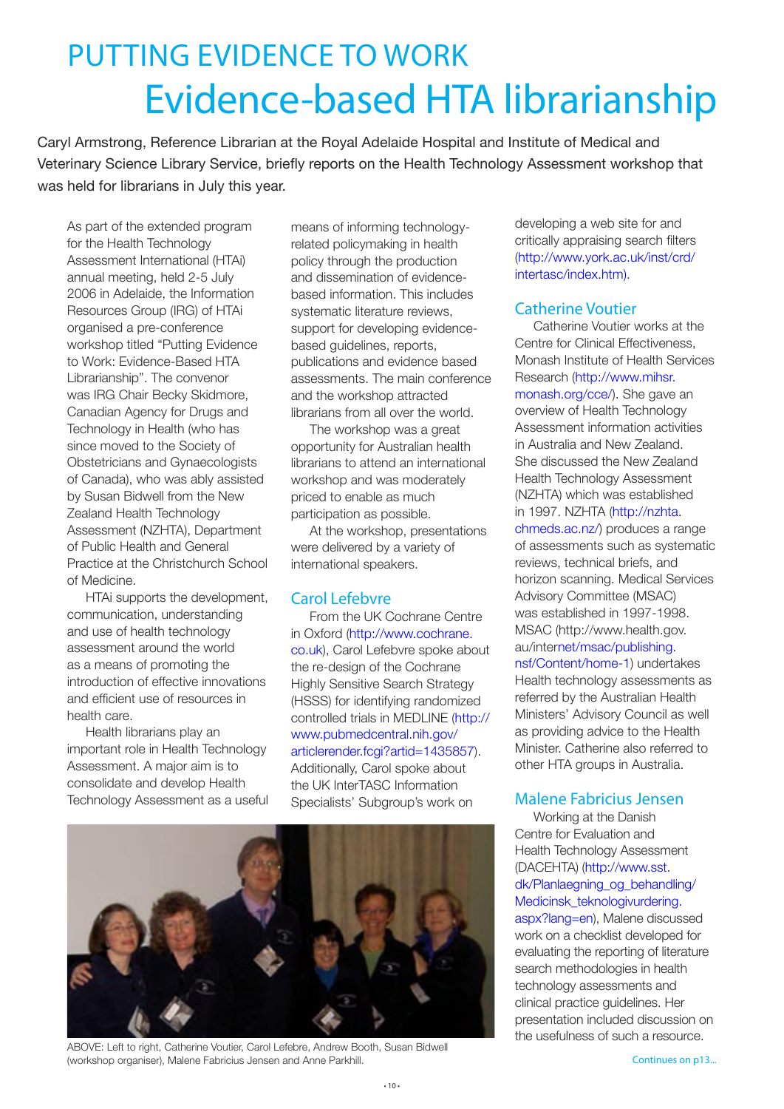## PUTTING EVIDENCE TO WORK Evidence-based HTA librarianship

Caryl Armstrong, Reference Librarian at the Royal Adelaide Hospital and Institute of Medical and Veterinary Science Library Service, briefly reports on the Health Technology Assessment workshop that was held for librarians in July this year.

As part of the extended program for the Health Technology Assessment International (HTAi) annual meeting, held 2-5 July 2006 in Adelaide, the Information Resources Group (IRG) of HTAi organised a pre-conference workshop titled "Putting Evidence to Work: Evidence-Based HTA Librarianship". The convenor was IRG Chair Becky Skidmore, Canadian Agency for Drugs and Technology in Health (who has since moved to the Society of Obstetricians and Gynaecologists of Canada), who was ably assisted by Susan Bidwell from the New Zealand Health Technology Assessment (NZHTA), Department of Public Health and General Practice at the Christchurch School of Medicine.

HTAi supports the development, communication, understanding and use of health technology assessment around the world as a means of promoting the introduction of effective innovations and efficient use of resources in health care.

Health librarians play an important role in Health Technology Assessment. A major aim is to consolidate and develop Health Technology Assessment as a useful means of informing technologyrelated policymaking in health policy through the production and dissemination of evidencebased information. This includes systematic literature reviews, support for developing evidencebased guidelines, reports, publications and evidence based assessments. The main conference and the workshop attracted librarians from all over the world.

The workshop was a great opportunity for Australian health librarians to attend an international workshop and was moderately priced to enable as much participation as possible.

At the workshop, presentations were delivered by a variety of international speakers.

#### Carol Lefebvre

From the UK Cochrane Centre in Oxford [\(http://www.cochrane.](http://www.cochrane.co.uk) [co.uk\)](http://www.cochrane.co.uk), Carol Lefebvre spoke about the re-design of the Cochrane Highly Sensitive Search Strategy (HSSS) for identifying randomized controlled trials in MEDLINE ([http://](http://www.pubmedcentral.nih.gov/articlerender.fcgi?artid=1435857) [www.pubmedcentral.nih.gov/](http://www.pubmedcentral.nih.gov/articlerender.fcgi?artid=1435857) [articlerender.fcgi?artid=1435857](http://www.pubmedcentral.nih.gov/articlerender.fcgi?artid=1435857)). Additionally, Carol spoke about the UK InterTASC Information Specialists' Subgroup's work on



ABOVE: Left to right, Catherine Voutier, Carol Lefebre, Andrew Booth, Susan Bidwell (workshop organiser), Malene Fabricius Jensen and Anne Parkhill. Continues on p13...

developing a web site for and critically appraising search filters ([http://www.york.ac.uk/inst/crd/](http://www.york.ac.uk/inst/crd/intertasc/index.htm) [intertasc/index.htm\)](http://www.york.ac.uk/inst/crd/intertasc/index.htm).

#### Catherine Voutier

Catherine Voutier works at the Centre for Clinical Effectiveness, Monash Institute of Health Services Research ([http://www.mihsr.](http://www.mihsr.monash.org/cce/) [monash.org/cce/](http://www.mihsr.monash.org/cce/)). She gave an overview of Health Technology Assessment information activities in Australia and New Zealand. She discussed the New Zealand Health Technology Assessment (NZHTA) which was established in 1997. NZHTA [\(http://nzhta.](http://nzhta.chmeds.ac.nz/) [chmeds.ac.nz/](http://nzhta.chmeds.ac.nz/)) produces a range of assessments such as systematic reviews, technical briefs, and horizon scanning. Medical Services Advisory Committee (MSAC) was established in 1997-1998. MSAC [\(http://www.health.gov.](http://www.health.gov.au/internet/msac/publishing.nsf/Content/home-1) [au/internet/msac/publishing.](http://www.health.gov.au/internet/msac/publishing.nsf/Content/home-1) [nsf/Content/home-1\)](http://www.health.gov.au/internet/msac/publishing.nsf/Content/home-1) undertakes Health technology assessments as referred by the Australian Health Ministers' Advisory Council as well as providing advice to the Health Minister. Catherine also referred to other HTA groups in Australia.

#### Malene Fabricius Jensen

Working at the Danish Centre for Evaluation and Health Technology Assessment (DACEHTA) [\(http://www.sst.](http://www.sst.dk/Planlaegning_og_behandling/Medicinsk_teknologivurdering.aspx?lang=en) [dk/Planlaegning\\_og\\_behandling/](http://www.sst.dk/Planlaegning_og_behandling/Medicinsk_teknologivurdering.aspx?lang=en) [Medicinsk\\_teknologivurdering.](http://www.sst.dk/Planlaegning_og_behandling/Medicinsk_teknologivurdering.aspx?lang=en) [aspx?lang=en](http://www.sst.dk/Planlaegning_og_behandling/Medicinsk_teknologivurdering.aspx?lang=en)), Malene discussed work on a checklist developed for evaluating the reporting of literature search methodologies in health technology assessments and clinical practice guidelines. Her presentation included discussion on the usefulness of such a resource.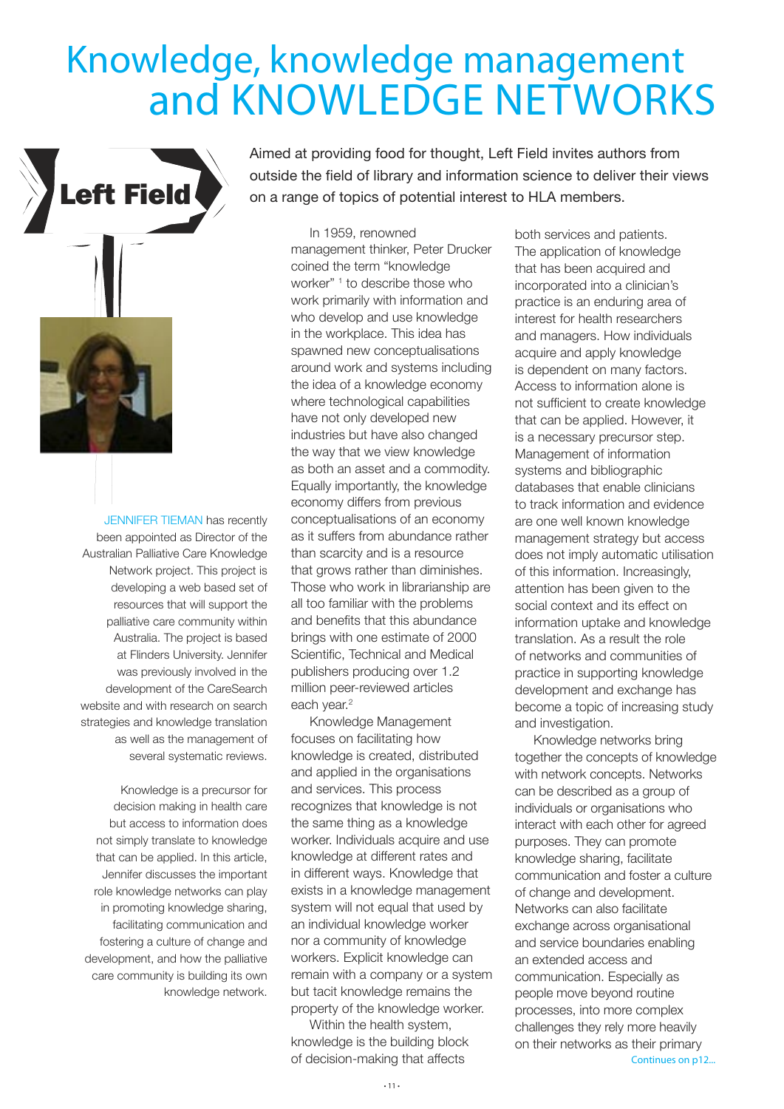## Knowledge, knowledge management and KNOWLEDGE NETWORKS



JENNIFER TIEMAN has recently been appointed as Director of the Australian Palliative Care Knowledge Network project. This project is developing a web based set of resources that will support the palliative care community within Australia. The project is based at Flinders University. Jennifer was previously involved in the development of the CareSearch website and with research on search strategies and knowledge translation as well as the management of several systematic reviews.

Knowledge is a precursor for decision making in health care but access to information does not simply translate to knowledge that can be applied. In this article, Jennifer discusses the important role knowledge networks can play in promoting knowledge sharing, facilitating communication and fostering a culture of change and development, and how the palliative care community is building its own knowledge network.

Aimed at providing food for thought, Left Field invites authors from outside the field of library and information science to deliver their views on a range of topics of potential interest to HLA members.

In 1959, renowned management thinker, Peter Drucker coined the term "knowledge worker" <sup>1</sup> to describe those who work primarily with information and who develop and use knowledge in the workplace. This idea has spawned new conceptualisations around work and systems including the idea of a knowledge economy where technological capabilities have not only developed new industries but have also changed the way that we view knowledge as both an asset and a commodity. Equally importantly, the knowledge economy differs from previous conceptualisations of an economy as it suffers from abundance rather than scarcity and is a resource that grows rather than diminishes. Those who work in librarianship are all too familiar with the problems and benefits that this abundance brings with one estimate of 2000 Scientific, Technical and Medical publishers producing over 1.2 million peer-reviewed articles each year.<sup>2</sup>

Knowledge Management focuses on facilitating how knowledge is created, distributed and applied in the organisations and services. This process recognizes that knowledge is not the same thing as a knowledge worker. Individuals acquire and use knowledge at different rates and in different ways. Knowledge that exists in a knowledge management system will not equal that used by an individual knowledge worker nor a community of knowledge workers. Explicit knowledge can remain with a company or a system but tacit knowledge remains the property of the knowledge worker.

Within the health system, knowledge is the building block of decision-making that affects

both services and patients. The application of knowledge that has been acquired and incorporated into a clinician's practice is an enduring area of interest for health researchers and managers. How individuals acquire and apply knowledge is dependent on many factors. Access to information alone is not sufficient to create knowledge that can be applied. However, it is a necessary precursor step. Management of information systems and bibliographic databases that enable clinicians to track information and evidence are one well known knowledge management strategy but access does not imply automatic utilisation of this information. Increasingly, attention has been given to the social context and its effect on information uptake and knowledge translation. As a result the role of networks and communities of practice in supporting knowledge development and exchange has become a topic of increasing study and investigation.

Continues on p12... Knowledge networks bring together the concepts of knowledge with network concepts. Networks can be described as a group of individuals or organisations who interact with each other for agreed purposes. They can promote knowledge sharing, facilitate communication and foster a culture of change and development. Networks can also facilitate exchange across organisational and service boundaries enabling an extended access and communication. Especially as people move beyond routine processes, into more complex challenges they rely more heavily on their networks as their primary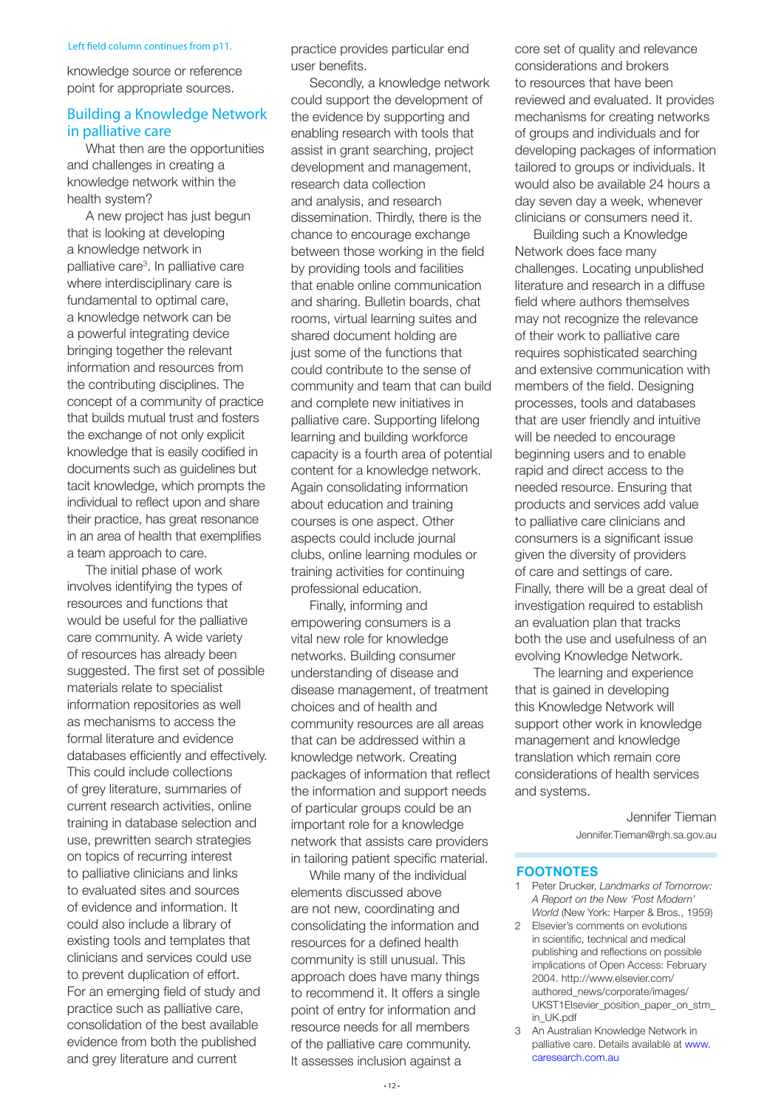#### Left field column continues from p11.

knowledge source or reference point for appropriate sources.

#### Building a Knowledge Network in palliative care

What then are the opportunities and challenges in creating a knowledge network within the health system?

A new project has just begun that is looking at developing a knowledge network in palliative care3 . In palliative care where interdisciplinary care is fundamental to optimal care, a knowledge network can be a powerful integrating device bringing together the relevant information and resources from the contributing disciplines. The concept of a community of practice that builds mutual trust and fosters the exchange of not only explicit knowledge that is easily codified in documents such as guidelines but tacit knowledge, which prompts the individual to reflect upon and share their practice, has great resonance in an area of health that exemplifies a team approach to care.

The initial phase of work involves identifying the types of resources and functions that would be useful for the palliative care community. A wide variety of resources has already been suggested. The first set of possible materials relate to specialist information repositories as well as mechanisms to access the formal literature and evidence databases efficiently and effectively. This could include collections of grey literature, summaries of current research activities, online training in database selection and use, prewritten search strategies on topics of recurring interest to palliative clinicians and links to evaluated sites and sources of evidence and information. It could also include a library of existing tools and templates that clinicians and services could use to prevent duplication of effort. For an emerging field of study and practice such as palliative care, consolidation of the best available evidence from both the published and grey literature and current

practice provides particular end user benefits.

Secondly, a knowledge network could support the development of the evidence by supporting and enabling research with tools that assist in grant searching, project development and management, research data collection and analysis, and research dissemination. Thirdly, there is the chance to encourage exchange between those working in the field by providing tools and facilities that enable online communication and sharing. Bulletin boards, chat rooms, virtual learning suites and shared document holding are just some of the functions that could contribute to the sense of community and team that can build and complete new initiatives in palliative care. Supporting lifelong learning and building workforce capacity is a fourth area of potential content for a knowledge network. Again consolidating information about education and training courses is one aspect. Other aspects could include journal clubs, online learning modules or training activities for continuing professional education.

Finally, informing and empowering consumers is a vital new role for knowledge networks. Building consumer understanding of disease and disease management, of treatment choices and of health and community resources are all areas that can be addressed within a knowledge network. Creating packages of information that reflect the information and support needs of particular groups could be an important role for a knowledge network that assists care providers in tailoring patient specific material.

While many of the individual elements discussed above are not new, coordinating and consolidating the information and resources for a defined health community is still unusual. This approach does have many things to recommend it. It offers a single point of entry for information and resource needs for all members of the palliative care community. It assesses inclusion against a

core set of quality and relevance considerations and brokers to resources that have been reviewed and evaluated. It provides mechanisms for creating networks of groups and individuals and for developing packages of information tailored to groups or individuals. It would also be available 24 hours a day seven day a week, whenever clinicians or consumers need it.

Building such a Knowledge Network does face many challenges. Locating unpublished literature and research in a diffuse field where authors themselves may not recognize the relevance of their work to palliative care requires sophisticated searching and extensive communication with members of the field. Designing processes, tools and databases that are user friendly and intuitive will be needed to encourage beginning users and to enable rapid and direct access to the needed resource. Ensuring that products and services add value to palliative care clinicians and consumers is a significant issue given the diversity of providers of care and settings of care. Finally, there will be a great deal of investigation required to establish an evaluation plan that tracks both the use and usefulness of an evolving Knowledge Network.

The learning and experience that is gained in developing this Knowledge Network will support other work in knowledge management and knowledge translation which remain core considerations of health services and systems.

> Jennifer Tieman Jennifer.Tieman@rgh.sa.gov.au

#### **FOOTNOTES**

- 1 Peter Drucker, *Landmarks of Tomorrow: A Report on the New 'Post Modern' World* (New York: Harper & Bros., 1959)
- 2 Elsevier's comments on evolutions in scientific, technical and medical publishing and reflections on possible implications of Open Access: February 2004. http://www.elsevier.com/ authored\_news/corporate/images/ UKST1Elsevier\_position\_paper\_on\_stm\_ in\_UK.pdf
- 3 An Australian Knowledge Network in palliative care. Details available at [www.](http://www.caresearch.com.au) [caresearch.com.au](http://www.caresearch.com.au)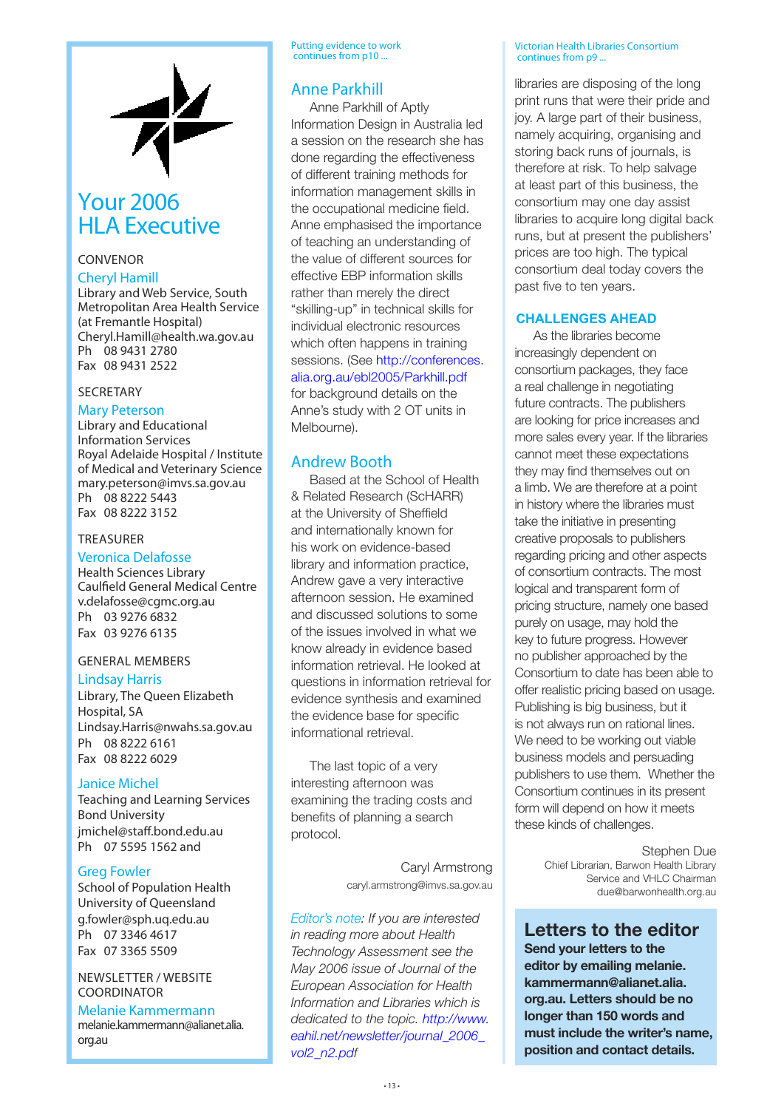

#### Your 2006 HLA Executive

#### CONVENOR

#### Cheryl Hamill

Library and Web Service, South Metropolitan Area Health Service (at Fremantle Hospital) Cheryl.Hamill@health.wa.gov.au Ph 08 9431 2780 Fax 08 9431 2522

#### SECRETARY

#### Mary Peterson

Library and Educational Information Services Royal Adelaide Hospital / Institute of Medical and Veterinary Science mary.peterson@imvs.sa.gov.au Ph 08 8222 5443 Fax 08 8222 3152

#### TREASURER

#### Veronica Delafosse

Health Sciences Library Caulfield General Medical Centre v.delafosse@cgmc.org.au Ph 03 9276 6832 Fax 03 9276 6135

#### GENERAL MEMBERS

#### Lindsay Harris

Library, The Queen Elizabeth Hospital, SA Lindsay.Harris@nwahs.sa.gov.au Ph 08 8222 6161 Fax 08 8222 6029

#### Janice Michel

Teaching and Learning Services Bond University jmichel@staff.bond.edu.au Ph 07 5595 1562 and

#### Greg Fowler

School of Population Health University of Queensland g.fowler@sph.uq.edu.au Ph 07 3346 4617 Fax 07 3365 5509

#### NEWSLETTER / WEBSITE COORDINATOR

Melanie Kammermann melanie.kammermann@alianet.alia. org.au

Putting evidence to work continues from p10 ...

#### Anne Parkhill

Anne Parkhill of Aptly Information Design in Australia led a session on the research she has done regarding the effectiveness of different training methods for information management skills in the occupational medicine field. Anne emphasised the importance of teaching an understanding of the value of different sources for effective EBP information skills rather than merely the direct "skilling-up" in technical skills for individual electronic resources which often happens in training sessions. (See [http://conferences.](http://conferences.alia.org.au/ebl2005/Parkhill.pdf) [alia.org.au/ebl2005/Parkhill.pdf](http://conferences.alia.org.au/ebl2005/Parkhill.pdf)

for background details on the Anne's study with 2 OT units in Melbourne).

#### Andrew Booth

Based at the School of Health & Related Research (ScHARR) at the University of Sheffield and internationally known for his work on evidence-based library and information practice, Andrew gave a very interactive afternoon session. He examined and discussed solutions to some of the issues involved in what we know already in evidence based information retrieval. He looked at questions in information retrieval for evidence synthesis and examined the evidence base for specific informational retrieval.

The last topic of a very interesting afternoon was examining the trading costs and benefits of planning a search protocol.

> Caryl Armstrong caryl.armstrong@imvs.sa.gov.au

*Editor's note: If you are interested in reading more about Health Technology Assessment see the May 2006 issue of Journal of the European Association for Health Information and Libraries which is dedicated to the topic. [http://www.](http://www.eahil.net/newsletter/journal_2006_vol2_n2.pdf) [eahil.net/newsletter/journal\\_2006\\_](http://www.eahil.net/newsletter/journal_2006_vol2_n2.pdf) [vol2\\_n2.pdf](http://www.eahil.net/newsletter/journal_2006_vol2_n2.pdf)*

Victorian Health Libraries Consortium continues from p9 ...

libraries are disposing of the long print runs that were their pride and joy. A large part of their business, namely acquiring, organising and storing back runs of journals, is therefore at risk. To help salvage at least part of this business, the consortium may one day assist libraries to acquire long digital back runs, but at present the publishers' prices are too high. The typical consortium deal today covers the past five to ten years.

#### **CHALLENGES AHEAD**

As the libraries become increasingly dependent on consortium packages, they face a real challenge in negotiating future contracts. The publishers are looking for price increases and more sales every year. If the libraries cannot meet these expectations they may find themselves out on a limb. We are therefore at a point in history where the libraries must take the initiative in presenting creative proposals to publishers regarding pricing and other aspects of consortium contracts. The most logical and transparent form of pricing structure, namely one based purely on usage, may hold the key to future progress. However no publisher approached by the Consortium to date has been able to offer realistic pricing based on usage. Publishing is big business, but it is not always run on rational lines. We need to be working out viable business models and persuading publishers to use them. Whether the Consortium continues in its present form will depend on how it meets these kinds of challenges.

> Stephen Due Chief Librarian, Barwon Health Library Service and VHLC Chairman due@barwonhealth.org.au

**Letters to the editor Send your letters to the editor by emailing melanie. kammermann@alianet.alia. org.au. Letters should be no longer than 150 words and must include the writer's name, position and contact details.**